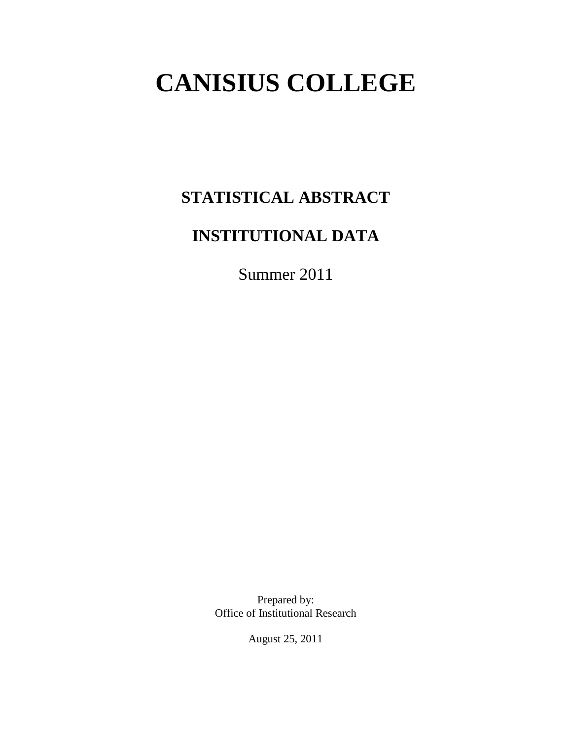# **CANISIUS COLLEGE**

# **STATISTICAL ABSTRACT**

# **INSTITUTIONAL DATA**

Summer 2011

Prepared by: Office of Institutional Research

August 25, 2011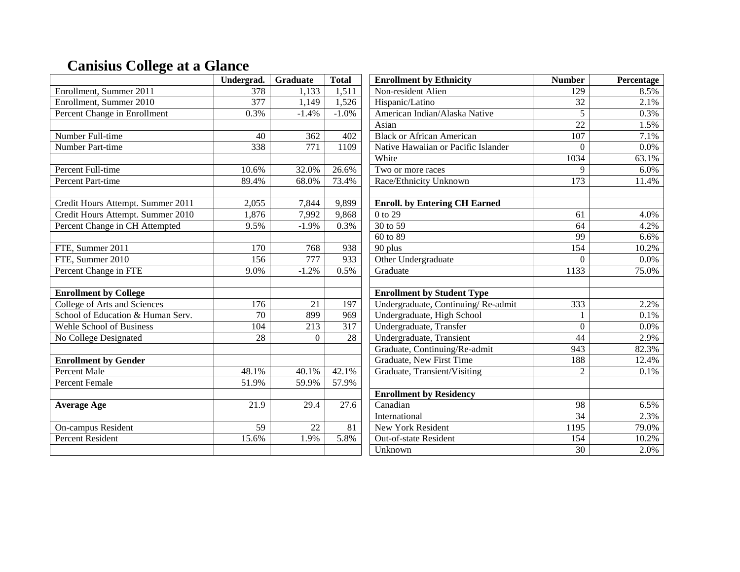# **Canisius College at a Glance**

|                                   | Undergrad.        | Graduate          | <b>Total</b>      | <b>Enrollment by Ethnicity</b>       | <b>Number</b>    | Percentage |
|-----------------------------------|-------------------|-------------------|-------------------|--------------------------------------|------------------|------------|
| Enrollment, Summer 2011           | 378               | 1,133             | 1,511             | Non-resident Alien                   | 129              | 8.5%       |
| Enrollment, Summer 2010           | 377               | 1,149             | 1,526             | Hispanic/Latino                      | 32               | 2.1%       |
| Percent Change in Enrollment      | 0.3%              | $-1.4%$           | $-1.0%$           | American Indian/Alaska Native        | 5                | 0.3%       |
|                                   |                   |                   |                   | Asian                                | 22               | 1.5%       |
| Number Full-time                  | 40                | 362               | 402               | <b>Black or African American</b>     | 107              | 7.1%       |
| <b>Number Part-time</b>           | 338               | 771               | 1109              | Native Hawaiian or Pacific Islander  | $\Omega$         | 0.0%       |
|                                   |                   |                   |                   | White                                | 1034             | 63.1%      |
| Percent Full-time                 | 10.6%             | 32.0%             | 26.6%             | Two or more races                    | 9                | 6.0%       |
| Percent Part-time                 | 89.4%             | 68.0%             | 73.4%             | Race/Ethnicity Unknown               | $\overline{173}$ | 11.4%      |
|                                   |                   |                   |                   |                                      |                  |            |
| Credit Hours Attempt. Summer 2011 | 2,055             | 7,844             | 9,899             | <b>Enroll.</b> by Entering CH Earned |                  |            |
| Credit Hours Attempt. Summer 2010 | 1,876             | 7,992             | 9,868             | $0$ to 29                            | 61               | 4.0%       |
| Percent Change in CH Attempted    | 9.5%              | $-1.9%$           | 0.3%              | 30 to 59                             | 64               | 4.2%       |
|                                   |                   |                   |                   | 60 to 89                             | 99               | 6.6%       |
| FTE, Summer 2011                  | 170               | 768               | 938               | 90 plus                              | $\overline{154}$ | 10.2%      |
| FTE, Summer 2010                  | $\frac{156}{ }$   | 777               | 933               | Other Undergraduate                  | $\Omega$         | 0.0%       |
| Percent Change in FTE             | 9.0%              | $-1.2%$           | 0.5%              | Graduate                             | 1133             | 75.0%      |
|                                   |                   |                   |                   |                                      |                  |            |
| <b>Enrollment by College</b>      |                   |                   |                   | <b>Enrollment by Student Type</b>    |                  |            |
| College of Arts and Sciences      | $\overline{176}$  | 21                | 197               | Undergraduate, Continuing/Re-admit   | 333              | 2.2%       |
| School of Education & Human Serv. | $\overline{70}$   | 899               | 969               | Undergraduate, High School           |                  | 0.1%       |
| <b>Wehle School of Business</b>   | 104               | 213               | 317               | Undergraduate, Transfer              | $\Omega$         | 0.0%       |
| No College Designated             | 28                | $\Omega$          | 28                | Undergraduate, Transient             | 44               | 2.9%       |
|                                   |                   |                   |                   | Graduate, Continuing/Re-admit        | 943              | 82.3%      |
| <b>Enrollment by Gender</b>       |                   |                   |                   | Graduate, New First Time             | 188              | 12.4%      |
| <b>Percent Male</b>               | 48.1%             | 40.1%             | 42.1%             | Graduate, Transient/Visiting         | $\overline{c}$   | 0.1%       |
| Percent Female                    | 51.9%             | 59.9%             | 57.9%             |                                      |                  |            |
|                                   |                   |                   |                   | <b>Enrollment by Residency</b>       |                  |            |
| <b>Average Age</b>                | $\overline{21.9}$ | $\overline{29.4}$ | $\overline{27.6}$ | Canadian                             | $\overline{98}$  | 6.5%       |
|                                   |                   |                   |                   | International                        | $\overline{34}$  | 2.3%       |
| On-campus Resident                | $\overline{59}$   | 22                | $\overline{81}$   | New York Resident                    | 1195             | 79.0%      |
| <b>Percent Resident</b>           | 15.6%             | 1.9%              | 5.8%              | Out-of-state Resident                | 154              | 10.2%      |
|                                   |                   |                   |                   | Unknown                              | 30               | 2.0%       |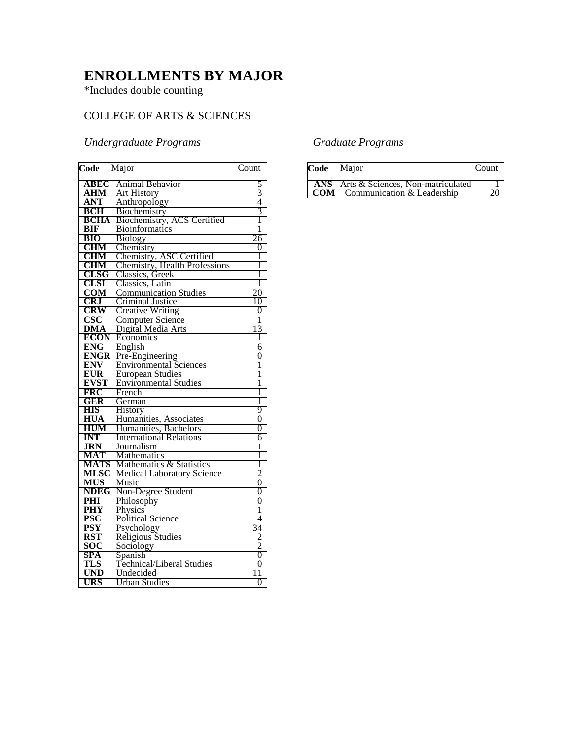# **ENROLLMENTS BY MAJOR**

\*Includes double counting

## COLLEGE OF ARTS & SCIENCES

## *Undergraduate Programs*

| Code                     | Major                                           | Count          |
|--------------------------|-------------------------------------------------|----------------|
| ABEC                     | Animal Behavior                                 | 5              |
| $\overline{\text{AHM}}$  | <b>Art History</b>                              | $\overline{3}$ |
| <b>ANT</b><br><b>BCH</b> | Anthropology                                    | $\overline{4}$ |
|                          | Biochemistry                                    | 3              |
| <b>BCHA</b>              | Biochemistry, ACS Certified                     | 1              |
| <b>BIF</b>               | <b>Bioinformatics</b>                           | 1              |
| <b>BIO</b>               | <b>Biology</b>                                  | 26             |
| <b>CHM</b>               | Chemistry                                       | $\overline{0}$ |
| CHM                      | Chemistry, ASC Certified                        | 1              |
| <b>CHM</b>               | Chemistry, Health Professions                   | 1              |
| <b>CLSG</b>              | Classics, Greek                                 | 1              |
| <b>CLSL</b>              | Classics, Latin                                 | 1              |
| <b>COM</b>               | <b>Communication Studies</b>                    | 20             |
| <b>CRJ</b>               | Criminal Justice                                | 10             |
| <b>CRW</b>               | <b>Creative Writing</b>                         | 0              |
| CSC                      | Computer Science                                | 1              |
| <b>DMA</b>               | Digital Media Arts                              | 13             |
| <b>ECON</b>              | Economics                                       | 1              |
| <b>ENG</b>               | English                                         | 6              |
| <b>ENGR</b>              | Pre-Engineering                                 | $\overline{0}$ |
| <b>ENV</b>               | <b>Environmental Sciences</b>                   | 1              |
| <b>EUR</b>               | <b>European Studies</b>                         | 1              |
| <b>EVST</b>              | <b>Environmental Studies</b>                    | 1              |
| <b>FRC</b>               | French                                          | 1              |
| <b>GER</b>               | German                                          | 1<br>9         |
| <b>HIS</b><br><b>HUA</b> | <b>History</b>                                  | $\overline{0}$ |
| <b>HUM</b>               | Humanities, Associates<br>Humanities, Bachelors | 0              |
| <b>INT</b>               | <b>International Relations</b>                  | 6              |
| <b>JRN</b>               | Journalism                                      | 1              |
| <b>MAT</b>               | Mathematics                                     | 1              |
| <b>MATS</b>              | Mathematics & Statistics                        | 1              |
| <b>MLSC</b>              | <b>Medical Laboratory Science</b>               | $\overline{2}$ |
| MUS                      | Music                                           | 0              |
| <b>NDEG</b>              | Non-Degree Student                              | $\overline{0}$ |
| PHI                      | Philosophy                                      | 0              |
| <b>PHY</b>               | Physics                                         | 1              |
| <b>PSC</b>               | <b>Political Science</b>                        | 4              |
| <b>PSY</b>               | Psychology                                      | 34             |
| <b>RST</b>               | <b>Religious Studies</b>                        | $\overline{2}$ |
| <b>SOC</b>               | Sociology                                       | $\overline{2}$ |
| SPA                      | Spanish                                         | $\overline{0}$ |
| TLS                      | <b>Technical/Liberal Studies</b>                | 0              |
| UND                      | Undecided                                       | 1              |
| <b>URS</b>               | <b>Urban Studies</b>                            | $\overline{0}$ |

## *Graduate Programs*

| Code | Major                                        | Count |
|------|----------------------------------------------|-------|
|      | <b>ANS</b> Arts & Sciences, Non-matriculated |       |
|      | <b>COM</b> Communication & Leadership        |       |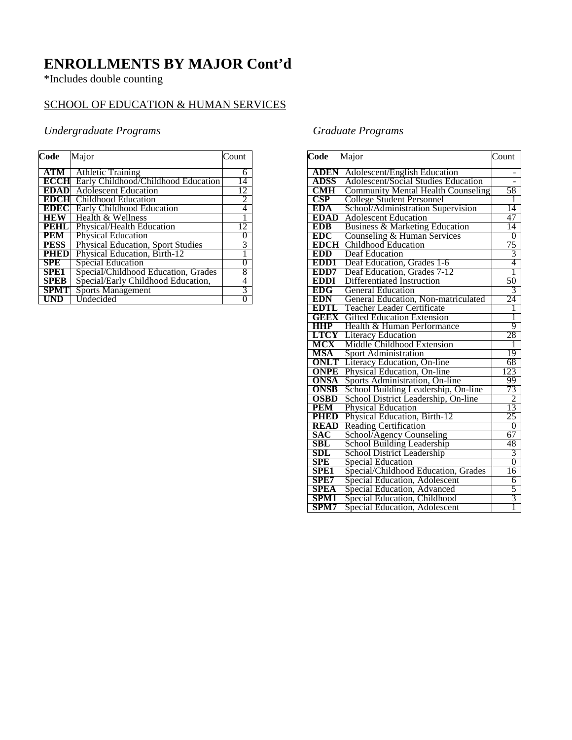# **ENROLLMENTS BY MAJOR Cont'd**

\*Includes double counting

## SCHOOL OF EDUCATION & HUMAN SERVICES

## *Undergraduate Programs*

| Code             | Major                                    | Count |
|------------------|------------------------------------------|-------|
| <b>ATM</b>       | <b>Athletic Training</b>                 | 6     |
| ECCH             | Early Childhood/Childhood Education      | 14    |
| <b>EDAD</b>      | <b>Adolescent Education</b>              | 12    |
| <b>EDCHI</b>     | Childhood Education                      | 2     |
| <b>EDEC</b>      | Early Childhood Education                | 4     |
| <b>HEW</b>       | Health & Wellness                        |       |
| PEHL             | Physical/Health Education                | 12    |
| PEM              | Physical Education                       | 0     |
| <b>PESS</b>      | <b>Physical Education, Sport Studies</b> | 3     |
| <b>PHED</b>      | Physical Education, Birth-12             |       |
| SPE              | <b>Special Education</b>                 | 0     |
| SPE <sub>1</sub> | Special/Childhood Education, Grades      | 8     |
| <b>SPEB</b>      | Special/Early Childhood Education,       | 4     |
| <b>SPMT</b>      | <b>Sports Management</b>                 | 3     |
|                  | Undecided                                | 0     |

## *Graduate Programs*

| Code                        | Major                                      | Count          |
|-----------------------------|--------------------------------------------|----------------|
| <b>ADEN</b>                 | <b>Adolescent/English Education</b>        |                |
| <b>ADSS</b>                 | <b>Adolescent/Social Studies Education</b> |                |
| <b>CMH</b>                  | <b>Community Mental Health Counseling</b>  | 58             |
| CSP                         | <b>College Student Personnel</b>           | 1              |
| <b>EDA</b>                  | School/Administration Supervision          | 14             |
| <b>EDAD</b>                 | <b>Adolescent Education</b>                | 47             |
| <b>EDB</b>                  | Business & Marketing Education             | 14             |
| <b>EDC</b>                  | Counseling & Human Services                | 0              |
| <b>EDCH</b>                 | Childhood Education                        | 75             |
| <b>EDD</b>                  | <b>Deaf Education</b>                      | 3              |
| EDD1                        | Deaf Education, Grades 1-6                 | 4              |
| EDD7                        | Deaf Education, Grades 7-12                | ī              |
| <b>EDDI</b>                 | Differentiated Instruction                 | 50             |
| <b>EDG</b>                  | <b>General Education</b>                   | 3              |
| <b>EDN</b>                  | General Education, Non-matriculated        | 24             |
| <b>EDTI</b>                 | <b>Teacher Leader Certificate</b>          | 1              |
| <b>GEEX</b>                 | <b>Gifted Education Extension</b>          | 1              |
| <b>HHP</b>                  | Health & Human Performance                 | 9              |
| LTCY                        | <b>Literacy Education</b>                  | 28             |
| MCX                         | Middle Childhood Extension                 | 1              |
| <b>MSA</b>                  | <b>Sport Administration</b>                | 19             |
| <b>ONLT</b>                 | Literacy Education, On-line                | 68             |
| <b>ONPE</b>                 | Physical Education, On-line                | <u>123</u>     |
| <b>ONSA</b>                 | Sports Administration, On-line             | 99             |
| <b>ONSB</b>                 | School Building Leadership, On-line        | 73             |
| <b>OSBD</b>                 | School District Leadership, On-line        | $\overline{2}$ |
| <b>PEM</b>                  | <b>Physical Education</b>                  | 13             |
| <b>PHED</b>                 | Physical Education, Birth-12               | 25             |
| <b>READ</b>                 | <b>Reading Certification</b>               | $\overline{0}$ |
| SAC                         | School/Agency Counseling                   | 67             |
| SBL                         | School Building Leadership                 | 48             |
| $\boldsymbol{\mathrm{SDL}}$ | <b>School District Leadership</b>          | 3              |
| <b>SPE</b>                  | <b>Special Education</b>                   | $\overline{0}$ |
| SPE1                        | Special/Childhood Education, Grades        | 16             |
| SPE7                        | Special Education, Adolescent              | 6              |
| SPEA                        | Special Education, Advanced                | 5              |
| SPM1                        | Special Education, Childhood               | 3              |
| SPM7                        | Special Education, Adolescent              | 1              |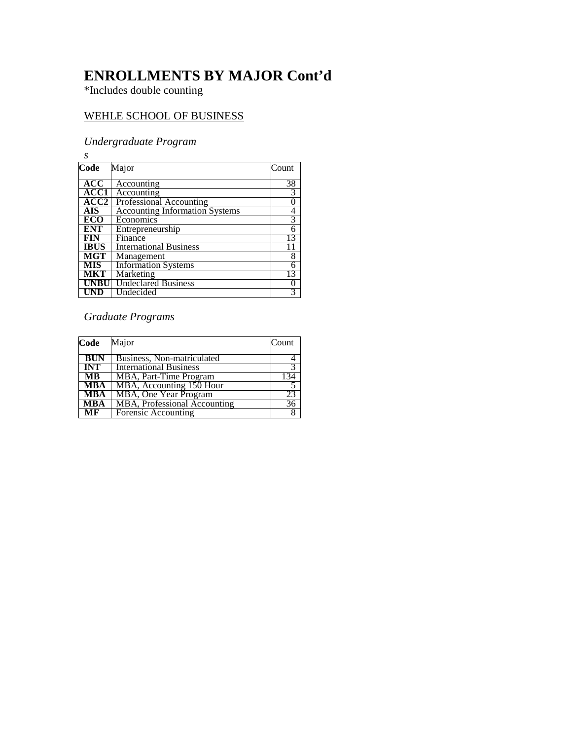## **ENROLLMENTS BY MAJOR Cont'd**

\*Includes double counting

## WEHLE SCHOOL OF BUSINESS

#### *Undergraduate Program*

*s* Major Count **ACC** | Accounting | 38 **ACC1** Accounting 3 **ACC2** Professional Accounting 0 **AIS** | Accounting Information Systems | 4 **AIS** Accounting Information Systems 4<br> **ECO** Economics 3<br> **ENT** Entrepreneurship 6<br> **FIN** Finance 13 **ENT** Entrepreneurship 6 **FIN** Finance 13 **IBUS** | International Business 11 **MGT** | Management 8 **MIS** | Information Systems 6 **MKT** | Marketing 13 **UNBU** Undeclared Business 0 UND Undecided 3

#### *Graduate Programs*

| Code                      | Major                         | Count           |
|---------------------------|-------------------------------|-----------------|
| <b>BUN</b>                | Business, Non-matriculated    |                 |
| <b>INT</b>                | <b>International Business</b> |                 |
| MB                        | MBA, Part-Time Program        | 134             |
| MBA                       | MBA, Accounting 150 Hour      |                 |
| MBA                       | MBA, One Year Program         | 23              |
| <b>MBA</b>                | MBA, Professional Accounting  | $\overline{36}$ |
| $\overline{\mathbf{M}}$ F | Forensic Accounting           |                 |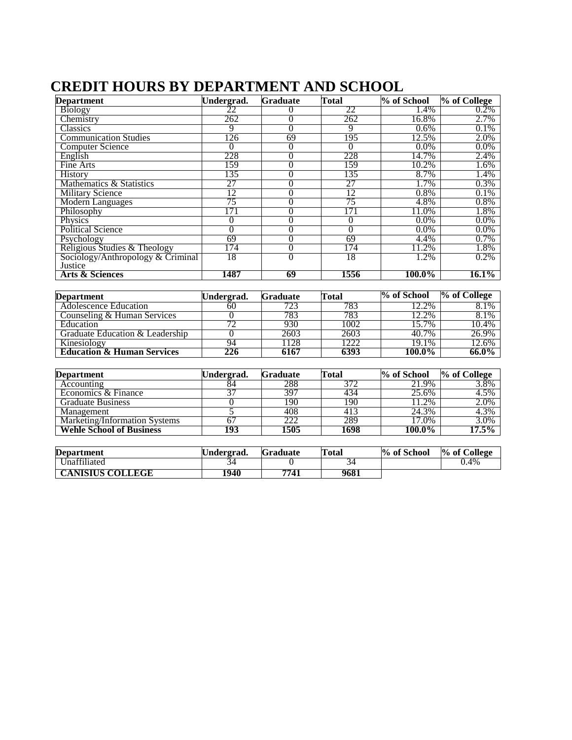# **CREDIT HOURS BY DEPARTMENT AND SCHOOL**

| <b>Department</b>                 | Undergrad. | <b>Graduate</b> | Total           | % of School | % of College |
|-----------------------------------|------------|-----------------|-----------------|-------------|--------------|
| <b>Biology</b>                    |            |                 | 22              | 1.4%        | 0.2%         |
| Chemistry                         | 262        | $\theta$        | 262             | 16.8%       | 2.7%         |
| <b>Classics</b>                   | 9          | 0               | 9               | 0.6%        | 0.1%         |
| <b>Communication Studies</b>      | l 26       | 69              | 195             | 12.5%       | 2.0%         |
| <b>Computer Science</b>           |            | 0               | 0               | 0.0%        | $0.0\%$      |
| English                           | 228        | 0               | 228             | 14.7%       | 2.4%         |
| Fine Arts                         | 159        |                 | 159             | 10.2%       | 1.6%         |
| <b>History</b>                    | 135        | 0               | 135             | 8.7%        | 1.4%         |
| Mathematics & Statistics          | 27         | 0               | 27              | 1.7%        | 0.3%         |
| <b>Military Science</b>           | 12         | $\theta$        | $\overline{12}$ | 0.8%        | 0.1%         |
| <b>Modern Languages</b>           | 75         | $\theta$        | 75              | 4.8%        | 0.8%         |
| Philosophy                        | 171        |                 | 171             | 11.0%       | 1.8%         |
| Physics                           |            | 0               | 0               | $0.0\%$     | $0.0\%$      |
| <b>Political Science</b>          |            |                 | 0               | $0.0\%$     | $0.0\%$      |
| Psychology                        | 69         | 0               | 69              | 4.4%        | 0.7%         |
| Religious Studies & Theology      | 174        | $\theta$        | 174             | 11.2%       | 1.8%         |
| Sociology/Anthropology & Criminal | 18         | 0               | 18              | 1.2%        | 0.2%         |
| Justice                           |            |                 |                 |             |              |
| <b>Arts &amp; Sciences</b>        | 1487       | 69              | 1556            | 100.0%      | $16.1\%$     |

| <b>Department</b>                     | Undergrad. | <b>Graduate</b> | Total | % of School | $\%$ of College |
|---------------------------------------|------------|-----------------|-------|-------------|-----------------|
| Adolescence Education                 | 60         | 723             | 783   | $2.2\%$     | 8.1%            |
| Counseling & Human Services           |            | 783             | 783   | 12.2%       | 8.1%            |
| Education                             |            | 930             | 1002  | $15.7\%$    | 10.4%           |
| Graduate Education & Leadership       |            | 2603            | 2603  | 40.7%       | 26.9%           |
| Kinesiology                           |            | 128             | 1222  | 19.1%       | 12.6%           |
| <b>Education &amp; Human Services</b> | 226        | 6167            | 6393  | $100.0\%$   | $66.0\%$        |

| <b>Department</b>               | Undergrad. | <b>Graduate</b> | Total | % of School         | % of College |
|---------------------------------|------------|-----------------|-------|---------------------|--------------|
| Accounting                      |            | 288             | 372   | 21.9%               | 3.8%         |
| Economics & Finance             |            | 397             | 434   | 25.6%               | $4.5\%$      |
| <b>Graduate Business</b>        |            | 190             | 190   | 1.2%                | 2.0%         |
| Management                      |            | 408             | 413   | 24.3%               | 4.3%         |
| Marketing/Information Systems   |            | 222             | 289   | $17.\overline{0\%}$ | $3.0\%$      |
| <b>Wehle School of Business</b> | 193        | 1505            | 1698  | 100.0%              | $17.5\%$     |

| <b>Department</b>       | ∪ndergrad. | <b>Graduate</b> | Total | % of School | % of College |
|-------------------------|------------|-----------------|-------|-------------|--------------|
| Unaffiliated            | 34         |                 |       |             | 0.4%         |
| <b>CANISIUS COLLEGE</b> | 1940       | 7741            | 9681  |             |              |